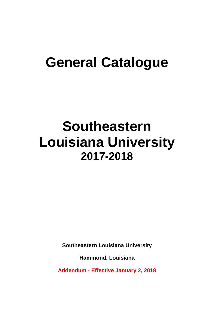# **General Catalogue**

# **Southeastern Louisiana University 2017-2018**

**Southeastern Louisiana University**

**Hammond, Louisiana**

**Addendum - Effective January 2, 2018**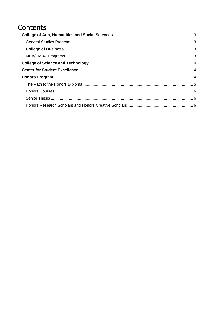# Contents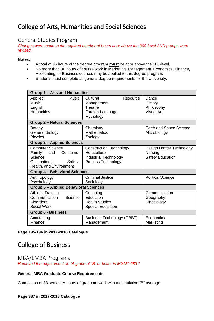# <span id="page-2-0"></span>College of Arts, Humanities and Social Sciences

### <span id="page-2-1"></span>General Studies Program

*Changes were made to the required number of hours at or above the 300-level AND groups were revised.*

#### **Notes:**

- A total of 36 hours of the degree program **must** be at or above the 300-level.
- No more than 30 hours of course work in Marketing, Management, Economics, Finance, Accounting, or Business courses may be applied to this degree program.
- Students must complete all general degree requirements for the University.

| Group 1 - Arts and Humanities                                                                                         |                                                                                                      |                                                          |  |
|-----------------------------------------------------------------------------------------------------------------------|------------------------------------------------------------------------------------------------------|----------------------------------------------------------|--|
| Applied<br>Music<br>Music<br>English<br><b>Humanities</b>                                                             | Cultural<br>Resource<br>Management<br>Theatre<br>Foreign Language<br>Mythology                       | Dance<br>History<br>Philosophy<br><b>Visual Arts</b>     |  |
| <b>Group 2 - Natural Sciences</b>                                                                                     |                                                                                                      |                                                          |  |
| Botany<br><b>General Biology</b><br>Physics                                                                           | Chemistry<br><b>Mathematics</b><br>Zoology                                                           | Earth and Space Science<br>Microbiology                  |  |
| <b>Group 3 - Applied Sciences</b>                                                                                     |                                                                                                      |                                                          |  |
| <b>Computer Science</b><br>Family<br>and<br>Consumer<br>Science<br>Occupational<br>Safety,<br>Health, and Environment | <b>Construction Technology</b><br>Horticulture<br><b>Industrial Technology</b><br>Process Technology | Design Drafter Technology<br>Nursing<br>Safety Education |  |
| Group 4 - Behavioral Sciences                                                                                         |                                                                                                      |                                                          |  |
| Anthropology<br>Psychology                                                                                            | Criminal Justice<br>Sociology                                                                        | <b>Political Science</b>                                 |  |
| <b>Group 5 - Applied Behavioral Sciences</b>                                                                          |                                                                                                      |                                                          |  |
| <b>Athletic Training</b><br>Communication<br>Science<br><b>Disorders</b><br>Social Work                               | Coaching<br>Education<br><b>Health Studies</b><br><b>Special Education</b>                           | Communication<br>Geography<br>Kinesiology                |  |
| <b>Group 6 - Business</b>                                                                                             |                                                                                                      |                                                          |  |
| Accounting<br>Finance                                                                                                 | Business Technology (GBBT)<br>Management                                                             | Economics<br>Marketing                                   |  |

#### **Page 195-196 in 2017-2018 Catalogue**

## <span id="page-2-2"></span>College of Business

<span id="page-2-3"></span>MBA/EMBA Programs *Removed the requirement of, "A grade of "B: or better in MGMT 683."*

#### **General MBA Graduate Course Requirements**

Completion of 33 semester hours of graduate work with a cumulative "B" average.

#### **Page 387 in 2017-2018 Catalogue**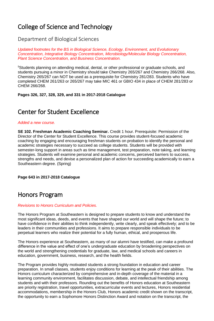# <span id="page-3-0"></span>College of Science and Technology

Department of Biological Sciences

*Updated footnotes for the BS in Biological Science, Ecology, Environment, and Evolutionary Concentration, Integrative Biology Concentration, Microbiology/Molecular Biology Concentration, Plant Science Concentration, and Business Concentration.*

<sup>5</sup>Students planning on attending medical, dental, or other professional or graduate schools, and students pursuing a minor in Chemistry should take Chemistry 265/267 and Chemistry 266/268. Also, Chemistry 265/267 can NOT be used as a prerequisite for Chemistry 281/283. Students who have completed CHEM 261/263 or 265/267 may take MIC 461 or GBIO 434 in place of CHEM 281/283 or CHEM 266/268.

**Pages 326, 327, 328, 329, and 331 in 2017-2018 Catalogue**

## <span id="page-3-1"></span>Center for Student Excellence

#### *Added a new course.*

**SE 102. Freshman Academic Coaching Seminar.** Credit 1 hour. Prerequisite: Permission of the Director of the Center for Student Excellence. This course provides student-focused academic coaching by engaging and encouraging freshman students on probation to identify the personal and academic strategies necessary to succeed as college students. Students will be provided with semester-long support in areas such as time management, test preparation, note taking, and learning strategies. Students will examine personal and academic concerns, perceived barriers to success, strengths and needs, and devise a personalized plan of action for succeeding academically to earn a Southeastern degree. (Spring)

**Page 643 in 2017-2018 Catalogue**

## <span id="page-3-2"></span>Honors Program

#### *Revisions to Honors Curriculum and Policies.*

The Honors Program at Southeastern is designed to prepare students to know and understand the most significant ideas, deeds, and events that have shaped our world and will shape the future; to have confidence in their abilities to think independently, write clearly, and speak effectively; and to be leaders in their communities and professions. It aims to prepare responsible individuals to be perpetual learners who realize their potential for a fully human, ethical, and prosperous life.

The Honors experience at Southeastern, as many of our alumni have testified, can make a profound difference in the value and effect of one's undergraduate education by broadening perspectives on the world and strengthening credentials for graduate, law, and medical schools and careers in education, government, business, research, and the health fields.

The Program provides highly motivated students a strong foundation in education and career preparation. In small classes, students enjoy conditions for learning at the peak of their abilities. The Honors curriculum characterized by comprehensive and in-depth coverage of the material in a learning community environment, facilitates discussion, debate, and intellectual friendship among students and with their professors. Rounding out the benefits of Honors education at Southeastern are priority registration, travel opportunities, extracurricular events and lectures, Honors residential accommodations, membership in the Honors Club, Honors academic credit shown on the transcript, the opportunity to earn a Sophomore Honors Distinction Award and notation on the transcript, the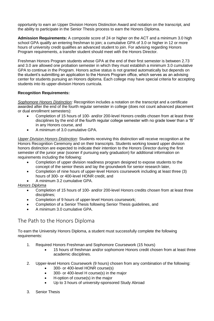opportunity to earn an Upper Division Honors Distinction Award and notation on the transcript, and the ability to participate in the Senior Thesis process to earn the Honors Diploma.

**Admission Requirements:** A composite score of 24 or higher on the ACT and a minimum 3.0 high school GPA qualify an entering freshman to join; a cumulative GPA of 3.0 or higher in 12 or more hours of university credit qualifies an advanced student to join. For advising regarding Honors Program requirements, a transfer student should meet with the Honors Director.

Freshman Honors Program students whose GPA at the end of their first semester is between 2.73 and 3.0 are allowed one probation semester in which they must establish a minimum 3.0 cumulative GPA to continue in the Program. Honors active status is not granted automatically but depends on the student's submitting an application to the Honors Program office, which serves as an advising center for students pursuing an Honors diploma. Each college may have special criteria for accepting students into its upper-division Honors curricula.

#### **Recognition Requirements:**

*Sophomore Honors Distinction:* Recognition includes a notation on the transcript and a certificate awarded after the end of the fourth regular semester in college (does not count advanced placement or dual enrollment semesters):

- Completion of 15 hours of 100- and/or 200-level Honors credits chosen from at least three disciplines by the end of the fourth regular college semester with no grade lower than a "B" in any Honors course, and
- A minimum of 3.0 cumulative GPA.

*Upper Division Honors Distinction:* Students receiving this distinction will receive recognition at the Honors Recognition Ceremony and on their transcripts. Students working toward upper division honors distinction are expected to indicate their intention to the Honors Director during the first semester of the junior year (sooner if pursuing early graduation) for additional information on requirements including the following:

- Completion of upper division readiness program designed to expose students to the concept of the senior thesis and lay the groundwork for senior research later,
- Completion of nine hours of upper-level Honors coursework including at least three (3) hours of 300- or 400-level HONR credit, and
- A minimum 3.2 cumulative GPA.

#### *Honors Diploma*

- Completion of 15 hours of 100- and/or 200-level Honors credits chosen from at least three disciplines;
- Completion of 9 hours of upper-level Honors coursework;
- Completion of a Senior Thesis following Senior Thesis guidelines, and
- A minimum 3.0 cumulative GPA.

### <span id="page-4-0"></span>The Path to the Honors Diploma

To earn the University Honors Diploma, a student must successfully complete the following requirements:

- 1. Required Honors Freshman and Sophomore Coursework (15 hours)
	- 15 hours of freshman and/or sophomore Honors credit chosen from at least three academic disciplines.
- 2. Upper-level Honors Coursework (9 hours) chosen from any combination of the following:
	- 300- or 400-level HONR course(s)
	- 300- or 400-level H course(s) in the major
	- H-option of course(s) in the major
	- Up to 3 hours of university-sponsored Study Abroad
- 3. Senior Thesis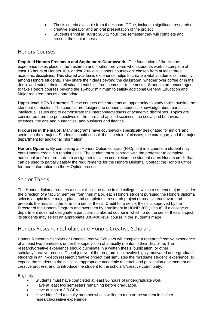- Thesis criteria available from the Honors Office, include a significant research or creative endeavor and an oral presentation of the project
- Students enroll in HONR 300 (1 hour) the semester they will complete and present the senior thesis

## <span id="page-5-0"></span>Honors Courses

**Required Honors Freshman and Sophomore Coursework :** The foundation of the Honors experience takes place in the freshman and sophomore years when students work to complete at least 15 hours of Honors 100- and/or 200-level Honors coursework chosen from at least three academic disciplines. This shared academic experience helps to create a vital academic community among Honors students. They share their ideas beyond the classroom, whether over coffee or in the dorm, and extend their intellectual friendships from semester to semester. Students are encouraged to take Honors courses beyond the 15-hour minimum to satisfy additional General Education and Major requirements as appropriate.

**Upper-level HONR courses:** These courses offer students an opportunity to study topics outside the standard curriculum. The courses are designed to deepen a student's knowledge about particular intellectual issues and to demonstrate the interconnectedness of academic disciplines. Topics are considered from the perspectives of the pure and applied sciences, the social and behavioral sciences, the arts and humanities, and business and finance.

**H courses in the major:** Many programs have coursework specifically designated for juniors and seniors in their majors. Students should consult the schedule of classes, the catalogue, and the major department for additional information.

**Honors Options:** By completing an Honors Option contract (H-Option) in a course, a student may earn Honors credit in a regular class. The student must contract with the professor to complete additional and/or more-in-depth assignments. Upon completion, the student earns Honors credit that can be used to partially satisfy the requirements for the Honors Diploma. Contact the Honors Office for more information on the H-Option process.

## <span id="page-5-1"></span>Senior Thesis

The Honors diploma requires a senior thesis be done in the college in which a student majors. Under the direction of a faculty member from their major, each Honors student pursuing the Honors diploma selects a topic in the major, plans and completes a research project or creative endeavor, and presents the results in the form of a senior thesis. Credit for a senior thesis is approved by the Director of the Honors Program and overseen by enrollment in HONR 300 (1 hour). If a college or department does not designate a particular numbered course in which to do the senior thesis project, its students may select an appropriate 300-400 level course in the student's major.

## <span id="page-5-2"></span>Honors Research Scholars and Honors Creative Scholars

Honors Research Scholars or Honors Creative Scholars will complete a research/creative experience of at least two-semesters under the supervision of a faculty mentor in their discipline. The research/creative experience should culminate in a written thesis, publication, or other scholarly/creative product. The objective of the program is to involve highly motivated undergraduate students in an in-depth research/creative project that simulates the "graduate student" experience, to expose the student to the discipline appropriate academic research and publication environment or creative process, and to introduce the student to the scholarly/creative community.

Eligibility:

- Students must have completed at least 30 hours of undergraduate work.
- Have at least two semesters remaining before graduation.
- Have at least a 3.0 GPA.
- Have identified a faculty member who is willing to mentor the student in his/her research/creative experience.